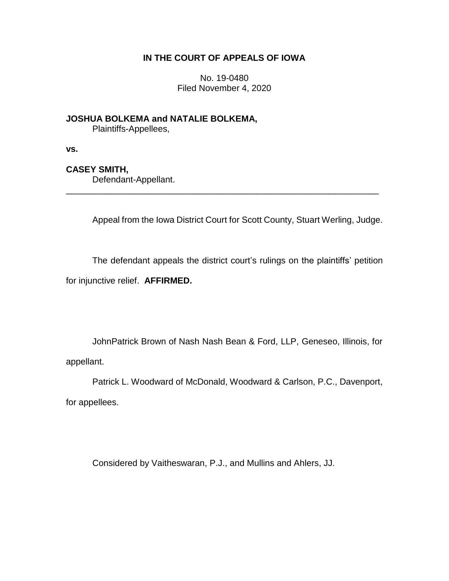## **IN THE COURT OF APPEALS OF IOWA**

No. 19-0480 Filed November 4, 2020

**JOSHUA BOLKEMA and NATALIE BOLKEMA,** Plaintiffs-Appellees,

**vs.**

## **CASEY SMITH,**

Defendant-Appellant.

Appeal from the Iowa District Court for Scott County, Stuart Werling, Judge.

The defendant appeals the district court's rulings on the plaintiffs' petition for injunctive relief. **AFFIRMED.**

\_\_\_\_\_\_\_\_\_\_\_\_\_\_\_\_\_\_\_\_\_\_\_\_\_\_\_\_\_\_\_\_\_\_\_\_\_\_\_\_\_\_\_\_\_\_\_\_\_\_\_\_\_\_\_\_\_\_\_\_\_\_\_\_

JohnPatrick Brown of Nash Nash Bean & Ford, LLP, Geneseo, Illinois, for appellant.

Patrick L. Woodward of McDonald, Woodward & Carlson, P.C., Davenport,

for appellees.

Considered by Vaitheswaran, P.J., and Mullins and Ahlers, JJ.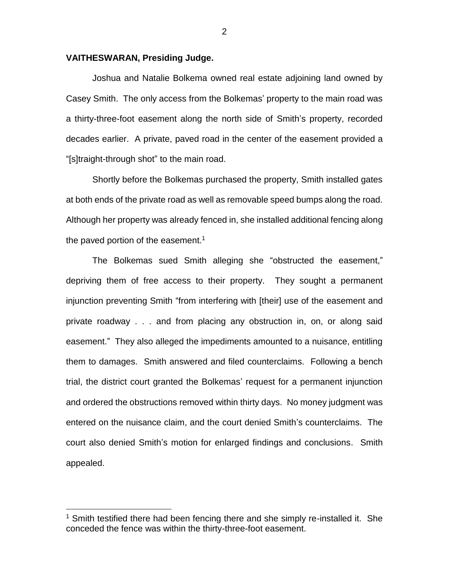## **VAITHESWARAN, Presiding Judge.**

Joshua and Natalie Bolkema owned real estate adjoining land owned by Casey Smith. The only access from the Bolkemas' property to the main road was a thirty-three-foot easement along the north side of Smith's property, recorded decades earlier. A private, paved road in the center of the easement provided a "[s]traight-through shot" to the main road.

Shortly before the Bolkemas purchased the property, Smith installed gates at both ends of the private road as well as removable speed bumps along the road. Although her property was already fenced in, she installed additional fencing along the paved portion of the easement.<sup>1</sup>

The Bolkemas sued Smith alleging she "obstructed the easement," depriving them of free access to their property. They sought a permanent injunction preventing Smith "from interfering with [their] use of the easement and private roadway . . . and from placing any obstruction in, on, or along said easement." They also alleged the impediments amounted to a nuisance, entitling them to damages. Smith answered and filed counterclaims. Following a bench trial, the district court granted the Bolkemas' request for a permanent injunction and ordered the obstructions removed within thirty days. No money judgment was entered on the nuisance claim, and the court denied Smith's counterclaims. The court also denied Smith's motion for enlarged findings and conclusions. Smith appealed.

 $\overline{a}$ 

 $1$  Smith testified there had been fencing there and she simply re-installed it. She conceded the fence was within the thirty-three-foot easement.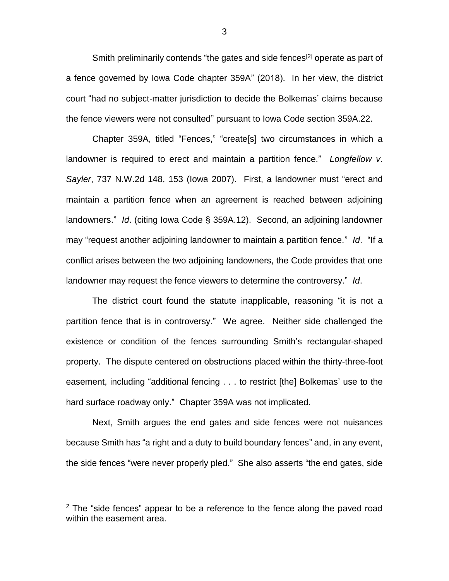Smith preliminarily contends "the gates and side fences<sup>[2]</sup> operate as part of a fence governed by Iowa Code chapter 359A" (2018). In her view, the district court "had no subject-matter jurisdiction to decide the Bolkemas' claims because the fence viewers were not consulted" pursuant to Iowa Code section 359A.22.

Chapter 359A, titled "Fences," "create[s] two circumstances in which a landowner is required to erect and maintain a partition fence." *Longfellow v*. *Sayler*, 737 N.W.2d 148, 153 (Iowa 2007). First, a landowner must "erect and maintain a partition fence when an agreement is reached between adjoining landowners." *Id*. (citing Iowa Code § 359A.12). Second, an adjoining landowner may "request another adjoining landowner to maintain a partition fence." *Id*. "If a conflict arises between the two adjoining landowners, the Code provides that one landowner may request the fence viewers to determine the controversy." *Id*.

The district court found the statute inapplicable, reasoning "it is not a partition fence that is in controversy." We agree. Neither side challenged the existence or condition of the fences surrounding Smith's rectangular-shaped property. The dispute centered on obstructions placed within the thirty-three-foot easement, including "additional fencing . . . to restrict [the] Bolkemas' use to the hard surface roadway only." Chapter 359A was not implicated.

Next, Smith argues the end gates and side fences were not nuisances because Smith has "a right and a duty to build boundary fences" and, in any event, the side fences "were never properly pled." She also asserts "the end gates, side

 $\overline{a}$ 

3

 $2$  The "side fences" appear to be a reference to the fence along the paved road within the easement area.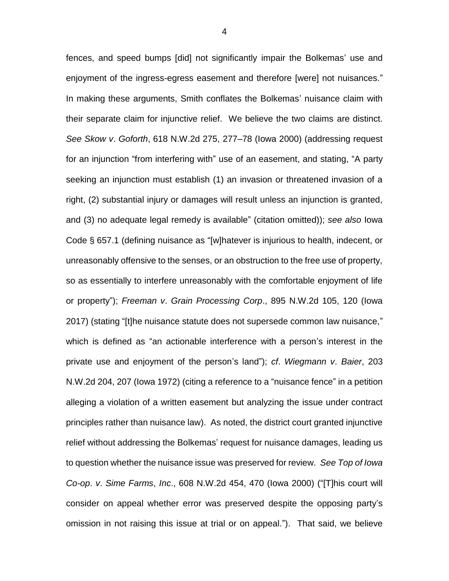fences, and speed bumps [did] not significantly impair the Bolkemas' use and enjoyment of the ingress-egress easement and therefore [were] not nuisances." In making these arguments, Smith conflates the Bolkemas' nuisance claim with their separate claim for injunctive relief. We believe the two claims are distinct. *See Skow v*. *Goforth*, 618 N.W.2d 275, 277–78 (Iowa 2000) (addressing request for an injunction "from interfering with" use of an easement, and stating, "A party seeking an injunction must establish (1) an invasion or threatened invasion of a right, (2) substantial injury or damages will result unless an injunction is granted, and (3) no adequate legal remedy is available" (citation omitted)); *see also* Iowa Code § 657.1 (defining nuisance as "[w]hatever is injurious to health, indecent, or unreasonably offensive to the senses, or an obstruction to the free use of property, so as essentially to interfere unreasonably with the comfortable enjoyment of life or property"); *Freeman v*. *Grain Processing Corp*., 895 N.W.2d 105, 120 (Iowa 2017) (stating "[t]he nuisance statute does not supersede common law nuisance," which is defined as "an actionable interference with a person's interest in the private use and enjoyment of the person's land"); *cf*. *Wiegmann v*. *Baier*, 203 N.W.2d 204, 207 (Iowa 1972) (citing a reference to a "nuisance fence" in a petition alleging a violation of a written easement but analyzing the issue under contract principles rather than nuisance law). As noted, the district court granted injunctive relief without addressing the Bolkemas' request for nuisance damages, leading us to question whether the nuisance issue was preserved for review. *See Top of Iowa Co-op*. *v*. *Sime Farms*, *Inc*., 608 N.W.2d 454, 470 (Iowa 2000) ("[T]his court will consider on appeal whether error was preserved despite the opposing party's omission in not raising this issue at trial or on appeal."). That said, we believe

4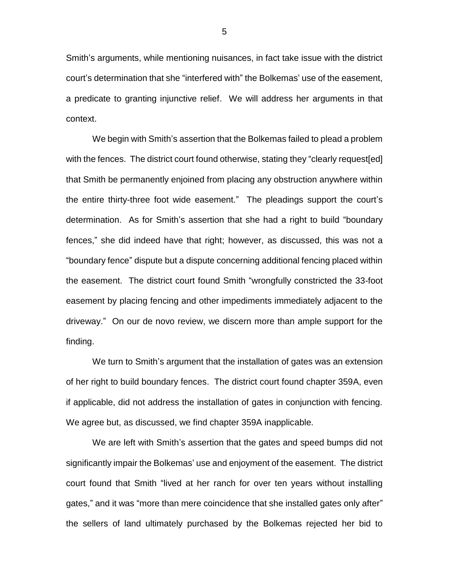Smith's arguments, while mentioning nuisances, in fact take issue with the district court's determination that she "interfered with" the Bolkemas' use of the easement, a predicate to granting injunctive relief. We will address her arguments in that context.

We begin with Smith's assertion that the Bolkemas failed to plead a problem with the fences. The district court found otherwise, stating they "clearly request[ed] that Smith be permanently enjoined from placing any obstruction anywhere within the entire thirty-three foot wide easement." The pleadings support the court's determination. As for Smith's assertion that she had a right to build "boundary fences," she did indeed have that right; however, as discussed, this was not a "boundary fence" dispute but a dispute concerning additional fencing placed within the easement. The district court found Smith "wrongfully constricted the 33-foot easement by placing fencing and other impediments immediately adjacent to the driveway." On our de novo review, we discern more than ample support for the finding.

We turn to Smith's argument that the installation of gates was an extension of her right to build boundary fences. The district court found chapter 359A, even if applicable, did not address the installation of gates in conjunction with fencing. We agree but, as discussed, we find chapter 359A inapplicable.

We are left with Smith's assertion that the gates and speed bumps did not significantly impair the Bolkemas' use and enjoyment of the easement. The district court found that Smith "lived at her ranch for over ten years without installing gates," and it was "more than mere coincidence that she installed gates only after" the sellers of land ultimately purchased by the Bolkemas rejected her bid to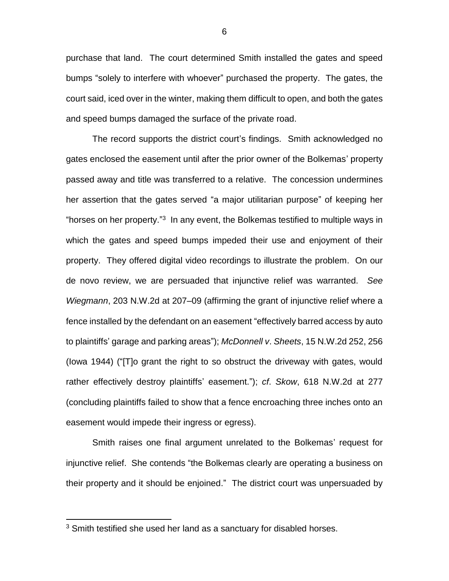purchase that land. The court determined Smith installed the gates and speed bumps "solely to interfere with whoever" purchased the property. The gates, the court said, iced over in the winter, making them difficult to open, and both the gates and speed bumps damaged the surface of the private road.

The record supports the district court's findings. Smith acknowledged no gates enclosed the easement until after the prior owner of the Bolkemas' property passed away and title was transferred to a relative. The concession undermines her assertion that the gates served "a major utilitarian purpose" of keeping her "horses on her property."<sup>3</sup> In any event, the Bolkemas testified to multiple ways in which the gates and speed bumps impeded their use and enjoyment of their property. They offered digital video recordings to illustrate the problem. On our de novo review, we are persuaded that injunctive relief was warranted. *See Wiegmann*, 203 N.W.2d at 207–09 (affirming the grant of injunctive relief where a fence installed by the defendant on an easement "effectively barred access by auto to plaintiffs' garage and parking areas"); *McDonnell v*. *Sheets*, 15 N.W.2d 252, 256 (Iowa 1944) ("[T]o grant the right to so obstruct the driveway with gates, would rather effectively destroy plaintiffs' easement."); *cf*. *Skow*, 618 N.W.2d at 277 (concluding plaintiffs failed to show that a fence encroaching three inches onto an easement would impede their ingress or egress).

Smith raises one final argument unrelated to the Bolkemas' request for injunctive relief. She contends "the Bolkemas clearly are operating a business on their property and it should be enjoined." The district court was unpersuaded by

 $\overline{a}$ 

<sup>&</sup>lt;sup>3</sup> Smith testified she used her land as a sanctuary for disabled horses.